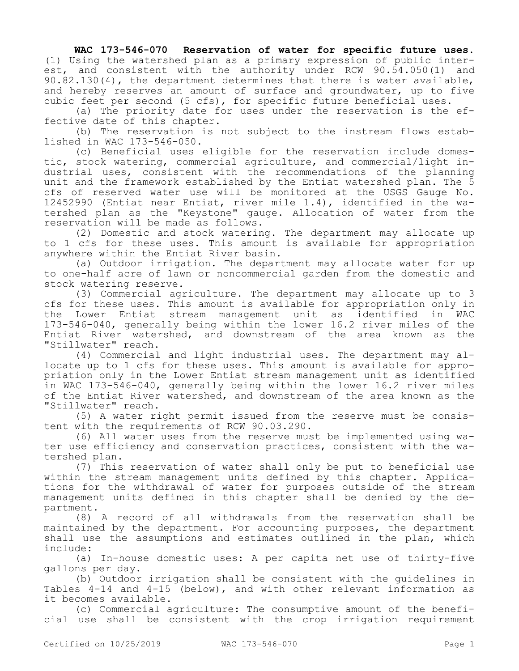## **WAC 173-546-070 Reservation of water for specific future uses.**

(1) Using the watershed plan as a primary expression of public interest, and consistent with the authority under RCW 90.54.050(1) and 90.82.130(4), the department determines that there is water available, and hereby reserves an amount of surface and groundwater, up to five cubic feet per second (5 cfs), for specific future beneficial uses.

(a) The priority date for uses under the reservation is the effective date of this chapter.

(b) The reservation is not subject to the instream flows established in WAC 173-546-050.

(c) Beneficial uses eligible for the reservation include domestic, stock watering, commercial agriculture, and commercial/light industrial uses, consistent with the recommendations of the planning unit and the framework established by the Entiat watershed plan. The 5 cfs of reserved water use will be monitored at the USGS Gauge No. 12452990 (Entiat near Entiat, river mile 1.4), identified in the watershed plan as the "Keystone" gauge. Allocation of water from the reservation will be made as follows.

(2) Domestic and stock watering. The department may allocate up to 1 cfs for these uses. This amount is available for appropriation anywhere within the Entiat River basin.

(a) Outdoor irrigation. The department may allocate water for up to one-half acre of lawn or noncommercial garden from the domestic and stock watering reserve.

(3) Commercial agriculture. The department may allocate up to 3 cfs for these uses. This amount is available for appropriation only in the Lower Entiat stream management unit as identified in WAC 173-546-040, generally being within the lower 16.2 river miles of the Entiat River watershed, and downstream of the area known as the "Stillwater" reach.

(4) Commercial and light industrial uses. The department may allocate up to 1 cfs for these uses. This amount is available for appropriation only in the Lower Entiat stream management unit as identified in WAC 173-546-040, generally being within the lower 16.2 river miles of the Entiat River watershed, and downstream of the area known as the "Stillwater" reach.

(5) A water right permit issued from the reserve must be consistent with the requirements of RCW 90.03.290.

(6) All water uses from the reserve must be implemented using water use efficiency and conservation practices, consistent with the watershed plan.

(7) This reservation of water shall only be put to beneficial use within the stream management units defined by this chapter. Applications for the withdrawal of water for purposes outside of the stream management units defined in this chapter shall be denied by the department.

(8) A record of all withdrawals from the reservation shall be maintained by the department. For accounting purposes, the department shall use the assumptions and estimates outlined in the plan, which include:

(a) In-house domestic uses: A per capita net use of thirty-five gallons per day.

(b) Outdoor irrigation shall be consistent with the guidelines in Tables 4-14 and 4-15 (below), and with other relevant information as it becomes available.

(c) Commercial agriculture: The consumptive amount of the beneficial use shall be consistent with the crop irrigation requirement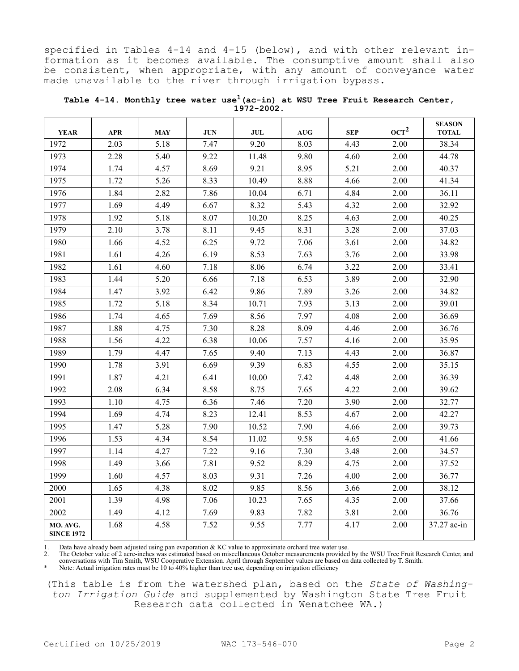specified in Tables 4-14 and 4-15 (below), and with other relevant information as it becomes available. The consumptive amount shall also be consistent, when appropriate, with any amount of conveyance water made unavailable to the river through irrigation bypass.

| <b>YEAR</b>                   | <b>APR</b> | <b>MAY</b> | <b>JUN</b> | <b>JUL</b> | <b>AUG</b> | <b>SEP</b>   | OCT <sup>2</sup> | <b>SEASON</b><br><b>TOTAL</b> |
|-------------------------------|------------|------------|------------|------------|------------|--------------|------------------|-------------------------------|
| 1972                          | 2.03       | 5.18       | 7.47       | 9.20       | 8.03       | 4.43<br>2.00 |                  | 38.34                         |
| 1973                          | 2.28       | 5.40       | 9.22       | 11.48      | 9.80       | 4.60         | 2.00             | 44.78                         |
| 1974                          | 1.74       | 4.57       | 8.69       | 9.21       | 8.95       | 5.21         | 2.00             | 40.37                         |
| 1975                          | 1.72       | 5.26       | 8.33       | 10.49      | 8.88       | 4.66         | 2.00             | 41.34                         |
| 1976                          | 1.84       | 2.82       | 7.86       | 10.04      | 6.71       | 4.84         | 2.00             | 36.11                         |
| 1977                          | 1.69       | 4.49       | 6.67       | 8.32       | 5.43       | 4.32         | 2.00             | 32.92                         |
| 1978                          | 1.92       | 5.18       | 8.07       | 10.20      | 8.25       | 4.63         | 2.00             | 40.25                         |
| 1979                          | 2.10       | 3.78       | 8.11       | 9.45       | 8.31       | 3.28         | 2.00             | 37.03                         |
| 1980                          | 1.66       | 4.52       | 6.25       | 9.72       | 7.06       | 2.00<br>3.61 |                  | 34.82                         |
| 1981                          | 1.61       | 4.26       | 6.19       | 8.53       | 7.63       | 3.76<br>2.00 |                  | 33.98                         |
| 1982                          | 1.61       | 4.60       | 7.18       | 8.06       | 6.74       | 3.22<br>2.00 |                  | 33.41                         |
| 1983                          | 1.44       | 5.20       | 6.66       | 7.18       | 6.53       | 3.89         | 2.00             | 32.90                         |
| 1984                          | 1.47       | 3.92       | 6.42       | 9.86       | 7.89       | 3.26<br>2.00 |                  | 34.82                         |
| 1985                          | 1.72       | 5.18       | 8.34       | 10.71      | 7.93       | 3.13<br>2.00 |                  | 39.01                         |
| 1986                          | 1.74       | 4.65       | 7.69       | 8.56       | 7.97       | 4.08         | 2.00             | 36.69                         |
| 1987                          | 1.88       | 4.75       | 7.30       | 8.28       | 8.09       | 4.46         | 2.00             | 36.76                         |
| 1988                          | 1.56       | 4.22       | 6.38       | 10.06      | 7.57       | 4.16         | 2.00             | 35.95                         |
| 1989                          | 1.79       | 4.47       | 7.65       | 9.40       | 7.13       | 4.43         | 2.00             | 36.87                         |
| 1990                          | 1.78       | 3.91       | 6.69       | 9.39       | 6.83       | 4.55         | 2.00             | 35.15                         |
| 1991                          | 1.87       | 4.21       | 6.41       | 10.00      | 7.42       | 4.48         | 2.00             | 36.39                         |
| 1992                          | 2.08       | 6.34       | 8.58       | 8.75       | 7.65       | 4.22         | 2.00             | 39.62                         |
| 1993                          | 1.10       | 4.75       | 6.36       | 7.46       | 7.20       | 3.90         | 2.00             | 32.77                         |
| 1994                          | 1.69       | 4.74       | 8.23       | 12.41      | 8.53       | 2.00<br>4.67 |                  | 42.27                         |
| 1995                          | 1.47       | 5.28       | 7.90       | 10.52      | 7.90       | 2.00<br>4.66 |                  | 39.73                         |
| 1996                          | 1.53       | 4.34       | 8.54       | 11.02      | 9.58       | 4.65         | 2.00             | 41.66                         |
| 1997                          | 1.14       | 4.27       | 7.22       | 9.16       | 7.30       | 3.48         | 2.00             | 34.57                         |
| 1998                          | 1.49       | 3.66       | 7.81       | 9.52       | 8.29       | 4.75         | 2.00             | 37.52                         |
| 1999                          | 1.60       | 4.57       | 8.03       | 9.31       | 7.26       | 4.00         | 2.00             | 36.77                         |
| 2000                          | 1.65       | 4.38       | 8.02       | 9.85       | 8.56       | 3.66         | 2.00             | 38.12                         |
| 2001                          | 1.39       | 4.98       | 7.06       | 10.23      | 7.65       | 4.35         | 2.00             | 37.66                         |
| 2002                          | 1.49       | 4.12       | 7.69       | 9.83       | 7.82       | 3.81         | 2.00             | 36.76                         |
| MO. AVG.<br><b>SINCE 1972</b> | 1.68       | 4.58       | 7.52       | 9.55       | 7.77       | 4.17         | 2.00             | 37.27 ac-in                   |

**Table 4-14. Monthly tree water use1(ac-in) at WSU Tree Fruit Research Center, 1972-2002.**

1. Data have already been adjusted using pan evaporation & KC value to approximate orchard tree water use.

2. The October value of 2 acre-inches was estimated based on miscellaneous October measurements provided by the WSU Tree Fruit Research Center, and conversations with Tim Smith, WSU Cooperative Extension. April through September values are based on data collected by T. Smith.

\* Note: Actual irrigation rates must be 10 to 40% higher than tree use, depending on irrigation efficiency

(This table is from the watershed plan, based on the *State of Washington Irrigation Guide* and supplemented by Washington State Tree Fruit Research data collected in Wenatchee WA.)